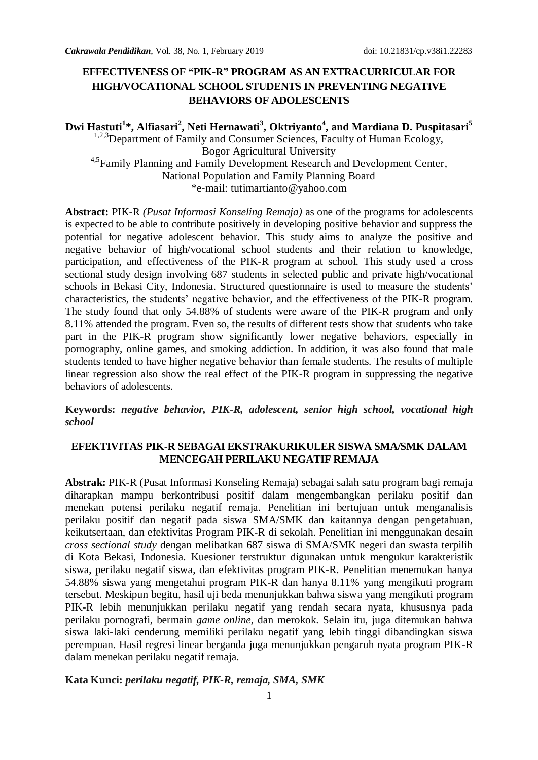# **EFFECTIVENESS OF "PIK-R" PROGRAM AS AN EXTRACURRICULAR FOR HIGH/VOCATIONAL SCHOOL STUDENTS IN PREVENTING NEGATIVE BEHAVIORS OF ADOLESCENTS**

**Dwi Hastuti<sup>1</sup> \*, Alfiasari<sup>2</sup> , Neti Hernawati<sup>3</sup> , Oktriyanto<sup>4</sup> , and Mardiana D. Puspitasari<sup>5</sup>** <sup>1,2,3</sup>Department of Family and Consumer Sciences, Faculty of Human Ecology, Bogor Agricultural University <sup>4,5</sup>Family Planning and Family Development Research and Development Center, National Population and Family Planning Board \*e-mail: tutimartianto@yahoo.com

**Abstract:** PIK-R *(Pusat Informasi Konseling Remaja)* as one of the programs for adolescents is expected to be able to contribute positively in developing positive behavior and suppress the potential for negative adolescent behavior. This study aims to analyze the positive and negative behavior of high/vocational school students and their relation to knowledge, participation, and effectiveness of the PIK-R program at school. This study used a cross sectional study design involving 687 students in selected public and private high/vocational schools in Bekasi City, Indonesia. Structured questionnaire is used to measure the students' characteristics, the students' negative behavior, and the effectiveness of the PIK-R program. The study found that only 54.88% of students were aware of the PIK-R program and only 8.11% attended the program. Even so, the results of different tests show that students who take part in the PIK-R program show significantly lower negative behaviors, especially in pornography, online games, and smoking addiction. In addition, it was also found that male students tended to have higher negative behavior than female students. The results of multiple linear regression also show the real effect of the PIK-R program in suppressing the negative behaviors of adolescents.

**Keywords:** *negative behavior, PIK-R, adolescent, senior high school, vocational high school*

#### **EFEKTIVITAS PIK-R SEBAGAI EKSTRAKURIKULER SISWA SMA/SMK DALAM MENCEGAH PERILAKU NEGATIF REMAJA**

**Abstrak:** PIK-R (Pusat Informasi Konseling Remaja) sebagai salah satu program bagi remaja diharapkan mampu berkontribusi positif dalam mengembangkan perilaku positif dan menekan potensi perilaku negatif remaja. Penelitian ini bertujuan untuk menganalisis perilaku positif dan negatif pada siswa SMA/SMK dan kaitannya dengan pengetahuan, keikutsertaan, dan efektivitas Program PIK-R di sekolah. Penelitian ini menggunakan desain *cross sectional study* dengan melibatkan 687 siswa di SMA/SMK negeri dan swasta terpilih di Kota Bekasi, Indonesia. Kuesioner terstruktur digunakan untuk mengukur karakteristik siswa, perilaku negatif siswa, dan efektivitas program PIK-R. Penelitian menemukan hanya 54.88% siswa yang mengetahui program PIK-R dan hanya 8.11% yang mengikuti program tersebut. Meskipun begitu, hasil uji beda menunjukkan bahwa siswa yang mengikuti program PIK-R lebih menunjukkan perilaku negatif yang rendah secara nyata, khususnya pada perilaku pornografi, bermain *game online*, dan merokok. Selain itu, juga ditemukan bahwa siswa laki-laki cenderung memiliki perilaku negatif yang lebih tinggi dibandingkan siswa perempuan. Hasil regresi linear berganda juga menunjukkan pengaruh nyata program PIK-R dalam menekan perilaku negatif remaja.

#### **Kata Kunci:** *perilaku negatif, PIK-R, remaja, SMA, SMK*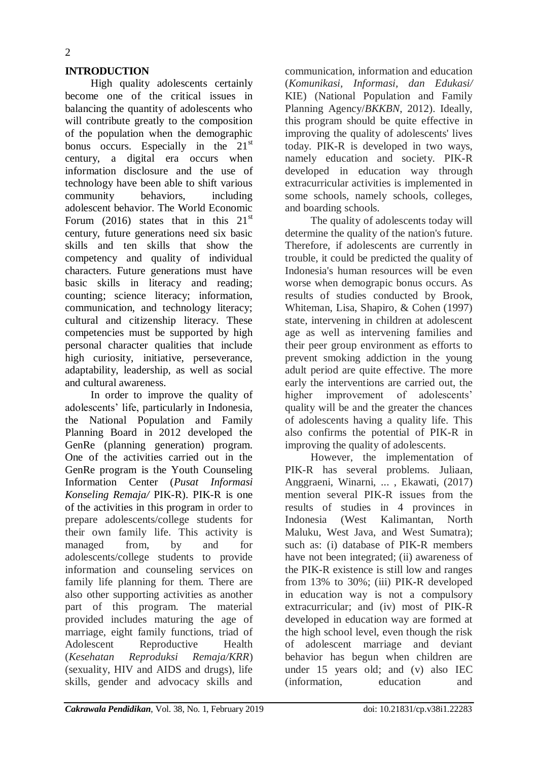### **INTRODUCTION**

High quality adolescents certainly become one of the critical issues in balancing the quantity of adolescents who will contribute greatly to the composition of the population when the demographic bonus occurs. Especially in the  $21<sup>st</sup>$ century, a digital era occurs when information disclosure and the use of technology have been able to shift various community behaviors, including adolescent behavior. The World Economic Forum (2016) states that in this  $21<sup>st</sup>$ century, future generations need six basic skills and ten skills that show the competency and quality of individual characters. Future generations must have basic skills in literacy and reading; counting; science literacy; information, communication, and technology literacy; cultural and citizenship literacy. These competencies must be supported by high personal character qualities that include high curiosity, initiative, perseverance, adaptability, leadership, as well as social and cultural awareness.

In order to improve the quality of adolescents' life, particularly in Indonesia, the National Population and Family Planning Board in 2012 developed the GenRe (planning generation) program. One of the activities carried out in the GenRe program is the Youth Counseling Information Center (*Pusat Informasi Konseling Remaja/* PIK-R). PIK-R is one of the activities in this program in order to prepare adolescents/college students for their own family life. This activity is managed from, by and for adolescents/college students to provide information and counseling services on family life planning for them. There are also other supporting activities as another part of this program. The material provided includes maturing the age of marriage, eight family functions, triad of Adolescent Reproductive Health (*Kesehatan Reproduksi Remaja/KRR*) (sexuality, HIV and AIDS and drugs), life skills, gender and advocacy skills and communication, information and education (*Komunikasi, Informasi, dan Edukasi/* KIE) (National Population and Family Planning Agency/*BKKBN*, 2012). Ideally, this program should be quite effective in improving the quality of adolescents' lives today. PIK-R is developed in two ways, namely education and society. PIK-R developed in education way through extracurricular activities is implemented in some schools, namely schools, colleges, and boarding schools.

The quality of adolescents today will determine the quality of the nation's future. Therefore, if adolescents are currently in trouble, it could be predicted the quality of Indonesia's human resources will be even worse when demograpic bonus occurs. As results of studies conducted by Brook, Whiteman, Lisa, Shapiro, & Cohen (1997) state, intervening in children at adolescent age as well as intervening families and their peer group environment as efforts to prevent smoking addiction in the young adult period are quite effective. The more early the interventions are carried out, the higher improvement of adolescents' quality will be and the greater the chances of adolescents having a quality life. This also confirms the potential of PIK-R in improving the quality of adolescents.

However, the implementation of PIK-R has several problems. Juliaan, Anggraeni, Winarni, ... , Ekawati, (2017) mention several PIK-R issues from the results of studies in 4 provinces in Indonesia (West Kalimantan, North Maluku, West Java, and West Sumatra); such as: (i) database of PIK-R members have not been integrated; (ii) awareness of the PIK-R existence is still low and ranges from 13% to 30%; (iii) PIK-R developed in education way is not a compulsory extracurricular; and (iv) most of PIK-R developed in education way are formed at the high school level, even though the risk of adolescent marriage and deviant behavior has begun when children are under 15 years old; and (v) also IEC (information, education and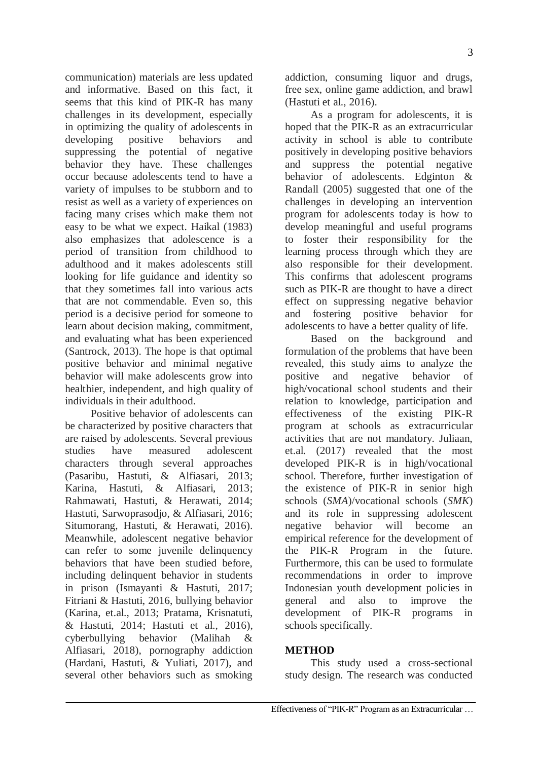communication) materials are less updated and informative. Based on this fact, it seems that this kind of PIK-R has many challenges in its development, especially in optimizing the quality of adolescents in developing positive behaviors and suppressing the potential of negative behavior they have. These challenges occur because adolescents tend to have a variety of impulses to be stubborn and to resist as well as a variety of experiences on facing many crises which make them not easy to be what we expect. Haikal (1983) also emphasizes that adolescence is a period of transition from childhood to adulthood and it makes adolescents still looking for life guidance and identity so that they sometimes fall into various acts that are not commendable. Even so, this period is a decisive period for someone to learn about decision making, commitment, and evaluating what has been experienced (Santrock, 2013). The hope is that optimal positive behavior and minimal negative behavior will make adolescents grow into healthier, independent, and high quality of individuals in their adulthood.

Positive behavior of adolescents can be characterized by positive characters that are raised by adolescents. Several previous studies have measured adolescent characters through several approaches (Pasaribu, Hastuti, & Alfiasari, 2013; Karina, Hastuti, & Alfiasari, 2013; Rahmawati, Hastuti, & Herawati, 2014; Hastuti, Sarwoprasodjo, & Alfiasari, 2016; Situmorang, Hastuti, & Herawati, 2016). Meanwhile, adolescent negative behavior can refer to some juvenile delinquency behaviors that have been studied before, including delinquent behavior in students in prison (Ismayanti & Hastuti, 2017; Fitriani & Hastuti, 2016, bullying behavior (Karina, et.al., 2013; Pratama, Krisnatuti, & Hastuti, 2014; Hastuti et al., 2016), cyberbullying behavior (Malihah & Alfiasari, 2018), pornography addiction (Hardani, Hastuti, & Yuliati, 2017), and several other behaviors such as smoking

addiction, consuming liquor and drugs, free sex, online game addiction, and brawl (Hastuti et al., 2016).

As a program for adolescents, it is hoped that the PIK-R as an extracurricular activity in school is able to contribute positively in developing positive behaviors and suppress the potential negative behavior of adolescents. Edginton & Randall (2005) suggested that one of the challenges in developing an intervention program for adolescents today is how to develop meaningful and useful programs to foster their responsibility for the learning process through which they are also responsible for their development. This confirms that adolescent programs such as PIK-R are thought to have a direct effect on suppressing negative behavior and fostering positive behavior for adolescents to have a better quality of life.

Based on the background and formulation of the problems that have been revealed, this study aims to analyze the positive and negative behavior of high/vocational school students and their relation to knowledge, participation and effectiveness of the existing PIK-R program at schools as extracurricular activities that are not mandatory. Juliaan, et.al. (2017) revealed that the most developed PIK-R is in high/vocational school. Therefore, further investigation of the existence of PIK-R in senior high schools (*SMA*)/vocational schools (*SMK*) and its role in suppressing adolescent negative behavior will become an empirical reference for the development of the PIK-R Program in the future. Furthermore, this can be used to formulate recommendations in order to improve Indonesian youth development policies in general and also to improve the development of PIK-R programs in schools specifically.

#### **METHOD**

This study used a cross-sectional study design. The research was conducted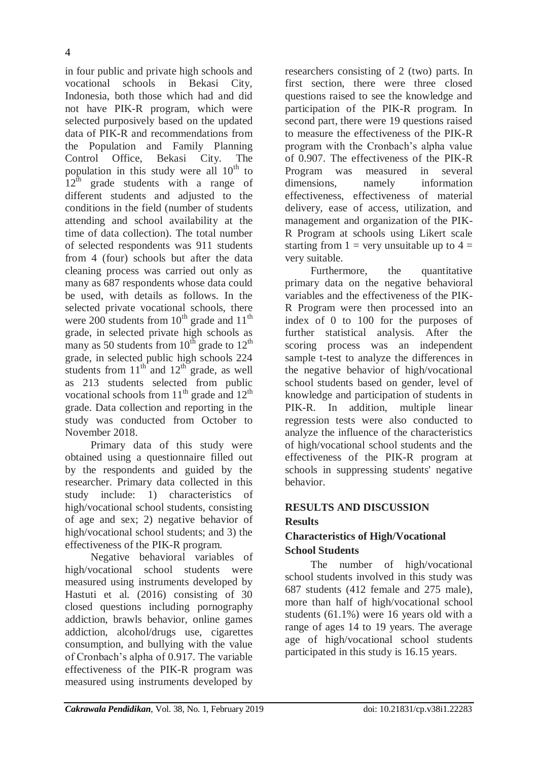in four public and private high schools and vocational schools in Bekasi City, Indonesia, both those which had and did not have PIK-R program, which were selected purposively based on the updated data of PIK-R and recommendations from the Population and Family Planning Control Office, Bekasi City. The population in this study were all  $10^{th}$  to  $12<sup>th</sup>$  grade students with a range of different students and adjusted to the conditions in the field (number of students attending and school availability at the time of data collection). The total number of selected respondents was 911 students from 4 (four) schools but after the data cleaning process was carried out only as many as 687 respondents whose data could be used, with details as follows. In the selected private vocational schools, there were 200 students from  $10^{th}$  grade and  $11^{th}$ grade, in selected private high schools as many as 50 students from  $10^{th}$  grade to  $12^{th}$ grade, in selected public high schools 224 students from  $11^{th}$  and  $12^{th}$  grade, as well as 213 students selected from public vocational schools from  $11<sup>th</sup>$  grade and  $12<sup>th</sup>$ grade. Data collection and reporting in the study was conducted from October to November 2018.

Primary data of this study were obtained using a questionnaire filled out by the respondents and guided by the researcher. Primary data collected in this study include: 1) characteristics of high/vocational school students, consisting of age and sex; 2) negative behavior of high/vocational school students; and 3) the effectiveness of the PIK-R program.

Negative behavioral variables of high/vocational school students were measured using instruments developed by Hastuti et al. (2016) consisting of 30 closed questions including pornography addiction, brawls behavior, online games addiction, alcohol/drugs use, cigarettes consumption, and bullying with the value of Cronbach's alpha of 0.917. The variable effectiveness of the PIK-R program was measured using instruments developed by

researchers consisting of 2 (two) parts. In first section, there were three closed questions raised to see the knowledge and participation of the PIK-R program. In second part, there were 19 questions raised to measure the effectiveness of the PIK-R program with the Cronbach's alpha value of 0.907. The effectiveness of the PIK-R Program was measured in several dimensions, namely information effectiveness, effectiveness of material delivery, ease of access, utilization, and management and organization of the PIK-R Program at schools using Likert scale starting from  $1 =$  very unsuitable up to  $4 =$ very suitable.

Furthermore, the quantitative primary data on the negative behavioral variables and the effectiveness of the PIK-R Program were then processed into an index of 0 to 100 for the purposes of further statistical analysis. After the scoring process was an independent sample t-test to analyze the differences in the negative behavior of high/vocational school students based on gender, level of knowledge and participation of students in PIK-R. In addition, multiple linear regression tests were also conducted to analyze the influence of the characteristics of high/vocational school students and the effectiveness of the PIK-R program at schools in suppressing students' negative behavior.

# **RESULTS AND DISCUSSION Results**

# **Characteristics of High/Vocational School Students**

The number of high/vocational school students involved in this study was 687 students (412 female and 275 male), more than half of high/vocational school students (61.1%) were 16 years old with a range of ages 14 to 19 years. The average age of high/vocational school students participated in this study is 16.15 years.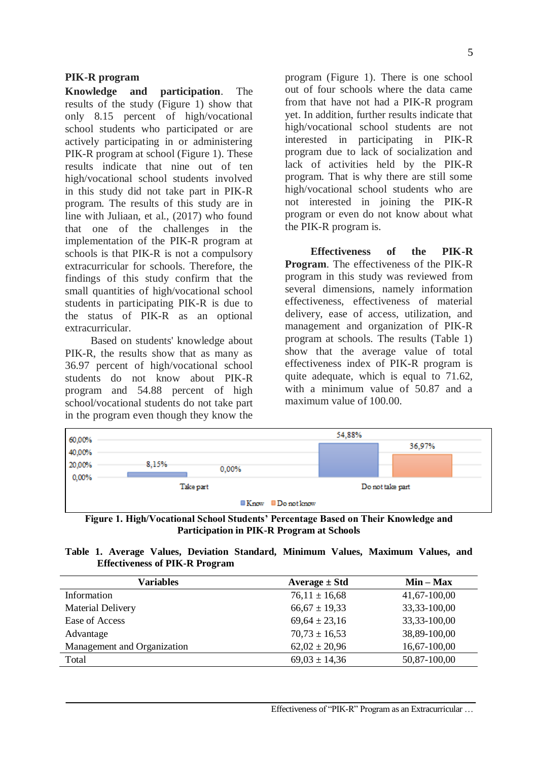#### **PIK-R program**

**Knowledge and participation**. The results of the study (Figure 1) show that only 8.15 percent of high/vocational school students who participated or are actively participating in or administering PIK-R program at school (Figure 1). These results indicate that nine out of ten high/vocational school students involved in this study did not take part in PIK-R program. The results of this study are in line with Juliaan, et al., (2017) who found that one of the challenges in the implementation of the PIK-R program at schools is that PIK-R is not a compulsory extracurricular for schools. Therefore, the findings of this study confirm that the small quantities of high/vocational school students in participating PIK-R is due to the status of PIK-R as an optional extracurricular.

Based on students' knowledge about PIK-R, the results show that as many as 36.97 percent of high/vocational school students do not know about PIK-R program and 54.88 percent of high school/vocational students do not take part in the program even though they know the

program (Figure 1). There is one school out of four schools where the data came from that have not had a PIK-R program yet. In addition, further results indicate that high/vocational school students are not interested in participating in PIK-R program due to lack of socialization and lack of activities held by the PIK-R program. That is why there are still some high/vocational school students who are not interested in joining the PIK-R program or even do not know about what the PIK-R program is.

**Effectiveness of the PIK-R Program**. The effectiveness of the PIK-R program in this study was reviewed from several dimensions, namely information effectiveness, effectiveness of material delivery, ease of access, utilization, and management and organization of PIK-R program at schools. The results (Table 1) show that the average value of total effectiveness index of PIK-R program is quite adequate, which is equal to 71.62, with a minimum value of 50.87 and a maximum value of 100.00.

| 60,00% |       | 54,88%    |                                                |  |                  |  |
|--------|-------|-----------|------------------------------------------------|--|------------------|--|
| 40,00% |       |           |                                                |  |                  |  |
| 20,00% | 8.15% | 0.00%     |                                                |  |                  |  |
| 0,00%  |       | Take part |                                                |  | Do not take part |  |
|        |       |           | $\blacksquare$ Know $\blacksquare$ Do not know |  |                  |  |

**Figure 1. High/Vocational School Students' Percentage Based on Their Knowledge and Participation in PIK-R Program at Schools**

|  |  |                                       |  | Table 1. Average Values, Deviation Standard, Minimum Values, Maximum Values, and |  |
|--|--|---------------------------------------|--|----------------------------------------------------------------------------------|--|
|  |  | <b>Effectiveness of PIK-R Program</b> |  |                                                                                  |  |

| <b>Variables</b>            | Average $\pm$ Std | $Min - Max$      |
|-----------------------------|-------------------|------------------|
| Information                 | $76,11 \pm 16,68$ | 41,67-100,00     |
| <b>Material Delivery</b>    | $66,67 \pm 19,33$ | 33, 33 - 100, 00 |
| Ease of Access              | $69,64 \pm 23,16$ | 33, 33 - 100, 00 |
| Advantage                   | $70,73 \pm 16,53$ | 38,89-100,00     |
| Management and Organization | $62,02 \pm 20,96$ | 16,67-100,00     |
| Total                       | $69,03 \pm 14,36$ | 50,87-100,00     |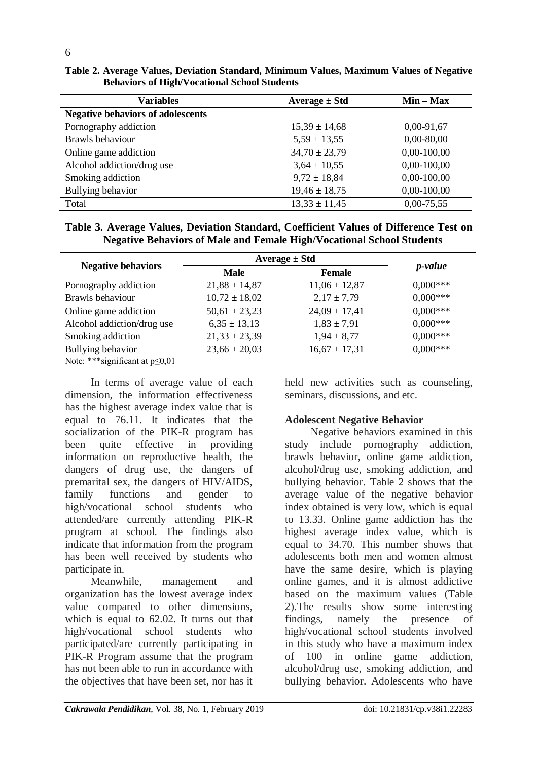| <b>Variables</b>                         | Average $\pm$ Std | $Min - Max$    |
|------------------------------------------|-------------------|----------------|
| <b>Negative behaviors of adolescents</b> |                   |                |
| Pornography addiction                    | $15,39 \pm 14,68$ | $0,00-91,67$   |
| Brawls behaviour                         | $5,59 \pm 13,55$  | $0,00 - 80,00$ |
| Online game addiction                    | $34,70 \pm 23,79$ | $0,00-100,00$  |
| Alcohol addiction/drug use               | $3,64 \pm 10,55$  | $0,00-100,00$  |
| Smoking addiction                        | $9,72 \pm 18,84$  | $0,00-100,00$  |
| Bullying behavior                        | $19,46 \pm 18,75$ | $0,00-100,00$  |
| Total                                    | $13,33 \pm 11,45$ | $0,00-75,55$   |

**Table 2. Average Values, Deviation Standard, Minimum Values, Maximum Values of Negative Behaviors of High/Vocational School Students**

**Table 3. Average Values, Deviation Standard, Coefficient Values of Difference Test on Negative Behaviors of Male and Female High/Vocational School Students**

| <b>Negative behaviors</b>  | Average $\pm$ Std | <i>p</i> -value   |            |  |
|----------------------------|-------------------|-------------------|------------|--|
|                            | <b>Male</b>       | <b>Female</b>     |            |  |
| Pornography addiction      | $21,88 \pm 14,87$ | $11,06 \pm 12,87$ | $0.000***$ |  |
| Brawls behaviour           | $10,72 \pm 18,02$ | $2,17 \pm 7,79$   | $0.000***$ |  |
| Online game addiction      | $50,61 \pm 23,23$ | $24,09 \pm 17,41$ | $0.000***$ |  |
| Alcohol addiction/drug use | $6,35 \pm 13,13$  | $1,83 \pm 7,91$   | $0.000***$ |  |
| Smoking addiction          | $21,33 \pm 23,39$ | $1,94 \pm 8,77$   | $0.000***$ |  |
| Bullying behavior          | $23,66 \pm 20,03$ | $16,67 \pm 17,31$ | $0.000***$ |  |

Note: \*\*\*significant at p≤0,01

In terms of average value of each dimension, the information effectiveness has the highest average index value that is equal to 76.11. It indicates that the socialization of the PIK-R program has been quite effective in providing information on reproductive health, the dangers of drug use, the dangers of premarital sex, the dangers of HIV/AIDS, family functions and gender to high/vocational school students who attended/are currently attending PIK-R program at school. The findings also indicate that information from the program has been well received by students who participate in.

Meanwhile, management and organization has the lowest average index value compared to other dimensions, which is equal to 62.02. It turns out that high/vocational school students who participated/are currently participating in PIK-R Program assume that the program has not been able to run in accordance with the objectives that have been set, nor has it

held new activities such as counseling, seminars, discussions, and etc.

## **Adolescent Negative Behavior**

Negative behaviors examined in this study include pornography addiction, brawls behavior, online game addiction, alcohol/drug use, smoking addiction, and bullying behavior. Table 2 shows that the average value of the negative behavior index obtained is very low, which is equal to 13.33. Online game addiction has the highest average index value, which is equal to 34.70. This number shows that adolescents both men and women almost have the same desire, which is playing online games, and it is almost addictive based on the maximum values (Table 2).The results show some interesting findings, namely the presence of high/vocational school students involved in this study who have a maximum index of 100 in online game addiction, alcohol/drug use, smoking addiction, and bullying behavior. Adolescents who have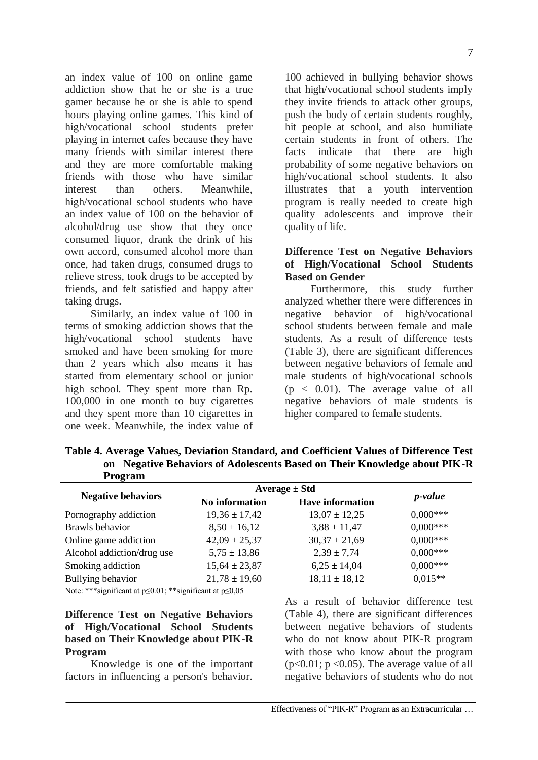an index value of 100 on online game addiction show that he or she is a true gamer because he or she is able to spend hours playing online games. This kind of high/vocational school students prefer playing in internet cafes because they have many friends with similar interest there and they are more comfortable making friends with those who have similar interest than others. Meanwhile, high/vocational school students who have an index value of 100 on the behavior of alcohol/drug use show that they once consumed liquor, drank the drink of his own accord, consumed alcohol more than once, had taken drugs, consumed drugs to relieve stress, took drugs to be accepted by friends, and felt satisfied and happy after taking drugs.

Similarly, an index value of 100 in terms of smoking addiction shows that the high/vocational school students have smoked and have been smoking for more than 2 years which also means it has started from elementary school or junior high school. They spent more than Rp. 100,000 in one month to buy cigarettes and they spent more than 10 cigarettes in one week. Meanwhile, the index value of

100 achieved in bullying behavior shows that high/vocational school students imply they invite friends to attack other groups, push the body of certain students roughly, hit people at school, and also humiliate certain students in front of others. The facts indicate that there are high probability of some negative behaviors on high/vocational school students. It also illustrates that a youth intervention program is really needed to create high quality adolescents and improve their quality of life.

## **Difference Test on Negative Behaviors of High/Vocational School Students Based on Gender**

Furthermore, this study further analyzed whether there were differences in negative behavior of high/vocational school students between female and male students. As a result of difference tests (Table 3), there are significant differences between negative behaviors of female and male students of high/vocational schools  $(p < 0.01)$ . The average value of all negative behaviors of male students is higher compared to female students.

**Table 4. Average Values, Deviation Standard, and Coefficient Values of Difference Test on Negative Behaviors of Adolescents Based on Their Knowledge about PIK-R Program**

|                            | Average $\pm$ Std |                         |                 |  |
|----------------------------|-------------------|-------------------------|-----------------|--|
| <b>Negative behaviors</b>  | No information    | <b>Have information</b> | <i>p</i> -value |  |
| Pornography addiction      | $19,36 \pm 17,42$ | $13,07 \pm 12,25$       | $0.000***$      |  |
| Brawls behavior            | $8,50 \pm 16,12$  | $3,88 \pm 11,47$        | $0,000***$      |  |
| Online game addiction      | $42,09 \pm 25,37$ | $30,37 \pm 21,69$       | $0,000***$      |  |
| Alcohol addiction/drug use | $5,75 \pm 13,86$  | $2,39 \pm 7,74$         | $0.000***$      |  |
| Smoking addiction          | $15,64 \pm 23,87$ | $6,25 \pm 14,04$        | $0.000***$      |  |
| Bullying behavior          | $21,78 \pm 19,60$ | $18,11 \pm 18,12$       | $0.015**$       |  |

Note: \*\*\*significant at  $p \le 0.01$ ; \*\*significant at  $p \le 0.05$ 

## **Difference Test on Negative Behaviors of High/Vocational School Students based on Their Knowledge about PIK-R Program**

Knowledge is one of the important factors in influencing a person's behavior.

As a result of behavior difference test (Table 4), there are significant differences between negative behaviors of students who do not know about PIK-R program with those who know about the program  $(p<0.01; p<0.05)$ . The average value of all negative behaviors of students who do not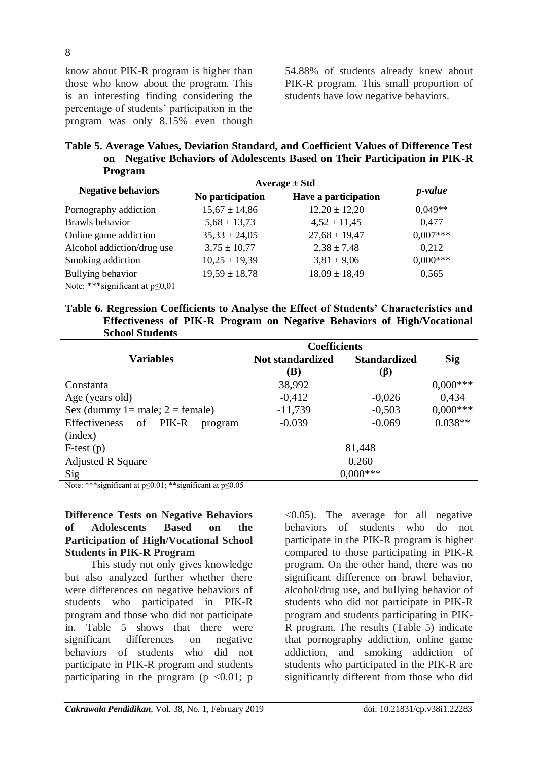know about PIK-R program is higher than those who know about the program. This is an interesting finding considering the percentage of students' participation in the program was only 8.15% even though 54.88% of students already knew about PIK-R program. This small proportion of students have low negative behaviors.

**Table 5. Average Values, Deviation Standard, and Coefficient Values of Difference Test on Negative Behaviors of Adolescents Based on Their Participation in PIK-R Program**

|                                                                               | Average $\pm$ Std |                      |                 |  |
|-------------------------------------------------------------------------------|-------------------|----------------------|-----------------|--|
| <b>Negative behaviors</b>                                                     | No participation  | Have a participation | <i>p</i> -value |  |
| Pornography addiction                                                         | $15,67 \pm 14,86$ | $12,20 \pm 12,20$    | $0.049**$       |  |
| Brawls behavior                                                               | $5,68 \pm 13,73$  | $4,52 \pm 11,45$     | 0,477           |  |
| Online game addiction                                                         | $35,33 \pm 24,05$ | $27,68 \pm 19,47$    | $0.007***$      |  |
| Alcohol addiction/drug use                                                    | $3,75 \pm 10,77$  | $2,38 \pm 7,48$      | 0,212           |  |
| Smoking addiction                                                             | $10,25 \pm 19,39$ | $3,81 \pm 9,06$      | $0.000***$      |  |
| Bullying behavior                                                             | $19,59 \pm 18,78$ | $18,09 \pm 18,49$    | 0,565           |  |
| $M_{i+1}$ , $*$ $*$ $*$ $$ ; $\alpha$ $$ $*$ $$ $*$ $\alpha$ $\alpha$ $\beta$ |                   |                      |                 |  |

Note: \*\*\*significant at p≤0,01

**Table 6. Regression Coefficients to Analyse the Effect of Students' Characteristics and Effectiveness of PIK-R Program on Negative Behaviors of High/Vocational School Students** 

|                                         | <b>Coefficients</b>     |                     |            |  |
|-----------------------------------------|-------------------------|---------------------|------------|--|
| <b>Variables</b>                        | <b>Not standardized</b> | <b>Standardized</b> | <b>Sig</b> |  |
|                                         | (B)                     | $(\beta)$           |            |  |
| Constanta                               | 38,992                  |                     | $0,000***$ |  |
| Age (years old)                         | $-0,412$                | $-0,026$            | 0,434      |  |
| Sex (dummy $1 =$ male; $2 =$ female)    | $-11,739$               | $-0,503$            | $0,000***$ |  |
| PIK-R<br>Effectiveness<br>of<br>program | $-0.039$                | $-0.069$            | $0.038**$  |  |
| (index)                                 |                         |                     |            |  |
| $F-test(p)$                             |                         | 81,448              |            |  |
| <b>Adjusted R Square</b>                | 0,260                   |                     |            |  |
| Sig                                     |                         | $0,000***$          |            |  |

Note: \*\*\*significant at  $p \le 0.01$ ; \*\*significant at  $p \le 0.05$ 

**Difference Tests on Negative Behaviors of Adolescents Based on the Participation of High/Vocational School Students in PIK-R Program**

This study not only gives knowledge but also analyzed further whether there were differences on negative behaviors of students who participated in PIK-R program and those who did not participate in. Table 5 shows that there were significant differences on negative behaviors of students who did not participate in PIK-R program and students participating in the program ( $p \le 0.01$ ; p <0.05). The average for all negative behaviors of students who do not participate in the PIK-R program is higher compared to those participating in PIK-R program. On the other hand, there was no significant difference on brawl behavior, alcohol/drug use, and bullying behavior of students who did not participate in PIK-R program and students participating in PIK-R program. The results (Table 5) indicate that pornography addiction, online game addiction, and smoking addiction of students who participated in the PIK-R are significantly different from those who did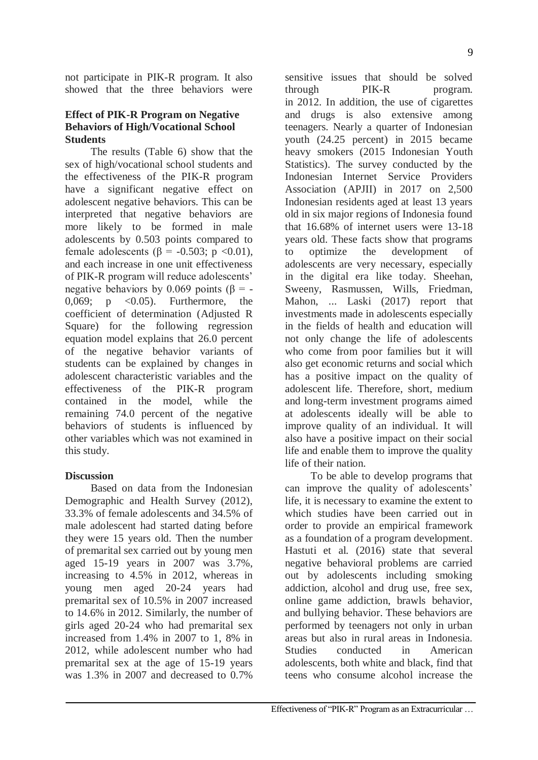not participate in PIK-R program. It also showed that the three behaviors were

## **Effect of PIK-R Program on Negative Behaviors of High/Vocational School Students**

The results (Table 6) show that the sex of high/vocational school students and the effectiveness of the PIK-R program have a significant negative effect on adolescent negative behaviors. This can be interpreted that negative behaviors are more likely to be formed in male adolescents by 0.503 points compared to female adolescents ( $\beta$  = -0.503; p <0.01), and each increase in one unit effectiveness of PIK-R program will reduce adolescents' negative behaviors by 0.069 points ( $\beta$  = -0,069;  $p \leq 0.05$ ). Furthermore, the coefficient of determination (Adjusted R Square) for the following regression equation model explains that 26.0 percent of the negative behavior variants of students can be explained by changes in adolescent characteristic variables and the effectiveness of the PIK-R program contained in the model, while the remaining 74.0 percent of the negative behaviors of students is influenced by other variables which was not examined in this study.

#### **Discussion**

Based on data from the Indonesian Demographic and Health Survey (2012), 33.3% of female adolescents and 34.5% of male adolescent had started dating before they were 15 years old. Then the number of premarital sex carried out by young men aged 15-19 years in 2007 was 3.7%, increasing to 4.5% in 2012, whereas in young men aged 20-24 years had premarital sex of 10.5% in 2007 increased to 14.6% in 2012. Similarly, the number of girls aged 20-24 who had premarital sex increased from 1.4% in 2007 to 1, 8% in 2012, while adolescent number who had premarital sex at the age of 15-19 years was 1.3% in 2007 and decreased to 0.7%

sensitive issues that should be solved through PIK-R program. in 2012. In addition, the use of cigarettes and drugs is also extensive among teenagers. Nearly a quarter of Indonesian youth (24.25 percent) in 2015 became heavy smokers (2015 Indonesian Youth Statistics). The survey conducted by the Indonesian Internet Service Providers Association (APJII) in 2017 on 2,500 Indonesian residents aged at least 13 years old in six major regions of Indonesia found that 16.68% of internet users were 13-18 years old. These facts show that programs to optimize the development of adolescents are very necessary, especially in the digital era like today. Sheehan, Sweeny, Rasmussen, Wills, Friedman, Mahon, ... Laski (2017) report that investments made in adolescents especially in the fields of health and education will not only change the life of adolescents who come from poor families but it will also get economic returns and social which has a positive impact on the quality of adolescent life. Therefore, short, medium and long-term investment programs aimed at adolescents ideally will be able to improve quality of an individual. It will also have a positive impact on their social life and enable them to improve the quality life of their nation.

To be able to develop programs that can improve the quality of adolescents' life, it is necessary to examine the extent to which studies have been carried out in order to provide an empirical framework as a foundation of a program development. Hastuti et al. (2016) state that several negative behavioral problems are carried out by adolescents including smoking addiction, alcohol and drug use, free sex, online game addiction, brawls behavior, and bullying behavior. These behaviors are performed by teenagers not only in urban areas but also in rural areas in Indonesia. Studies conducted in American adolescents, both white and black, find that teens who consume alcohol increase the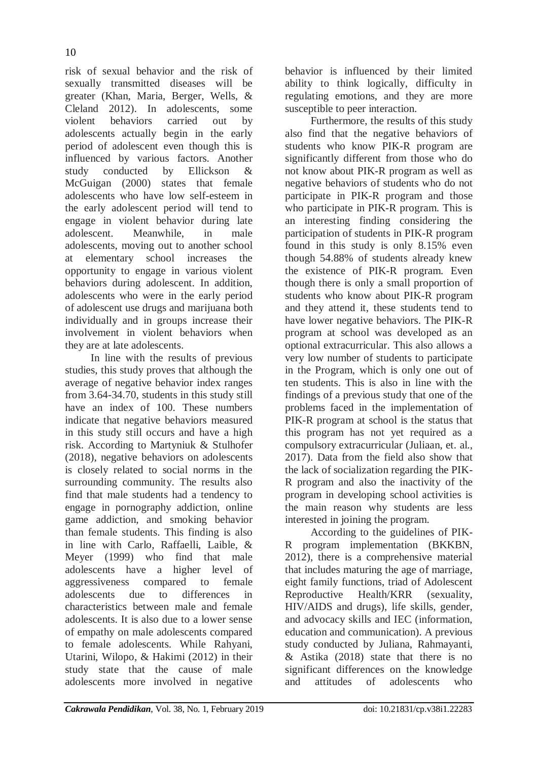risk of sexual behavior and the risk of sexually transmitted diseases will be greater (Khan, Maria, Berger, Wells, & Cleland 2012). In adolescents, some violent behaviors carried out by adolescents actually begin in the early period of adolescent even though this is influenced by various factors. Another study conducted by Ellickson & McGuigan (2000) states that female adolescents who have low self-esteem in the early adolescent period will tend to engage in violent behavior during late adolescent. Meanwhile, in male adolescents, moving out to another school at elementary school increases the opportunity to engage in various violent behaviors during adolescent. In addition, adolescents who were in the early period of adolescent use drugs and marijuana both individually and in groups increase their involvement in violent behaviors when they are at late adolescents.

In line with the results of previous studies, this study proves that although the average of negative behavior index ranges from 3.64-34.70, students in this study still have an index of 100. These numbers indicate that negative behaviors measured in this study still occurs and have a high risk. According to Martyniuk & Stulhofer (2018), negative behaviors on adolescents is closely related to social norms in the surrounding community. The results also find that male students had a tendency to engage in pornography addiction, online game addiction, and smoking behavior than female students. This finding is also in line with Carlo, Raffaelli, Laible, & Meyer (1999) who find that male adolescents have a higher level of aggressiveness compared to female adolescents due to differences in characteristics between male and female adolescents. It is also due to a lower sense of empathy on male adolescents compared to female adolescents. While Rahyani, Utarini, Wilopo, & Hakimi (2012) in their study state that the cause of male adolescents more involved in negative

behavior is influenced by their limited ability to think logically, difficulty in regulating emotions, and they are more susceptible to peer interaction.

Furthermore, the results of this study also find that the negative behaviors of students who know PIK-R program are significantly different from those who do not know about PIK-R program as well as negative behaviors of students who do not participate in PIK-R program and those who participate in PIK-R program. This is an interesting finding considering the participation of students in PIK-R program found in this study is only 8.15% even though 54.88% of students already knew the existence of PIK-R program. Even though there is only a small proportion of students who know about PIK-R program and they attend it, these students tend to have lower negative behaviors. The PIK-R program at school was developed as an optional extracurricular. This also allows a very low number of students to participate in the Program, which is only one out of ten students. This is also in line with the findings of a previous study that one of the problems faced in the implementation of PIK-R program at school is the status that this program has not yet required as a compulsory extracurricular (Juliaan, et. al., 2017). Data from the field also show that the lack of socialization regarding the PIK-R program and also the inactivity of the program in developing school activities is the main reason why students are less interested in joining the program.

According to the guidelines of PIK-R program implementation (BKKBN, 2012), there is a comprehensive material that includes maturing the age of marriage, eight family functions, triad of Adolescent Reproductive Health/KRR (sexuality, HIV/AIDS and drugs), life skills, gender, and advocacy skills and IEC (information, education and communication). A previous study conducted by Juliana, Rahmayanti, & Astika (2018) state that there is no significant differences on the knowledge and attitudes of adolescents who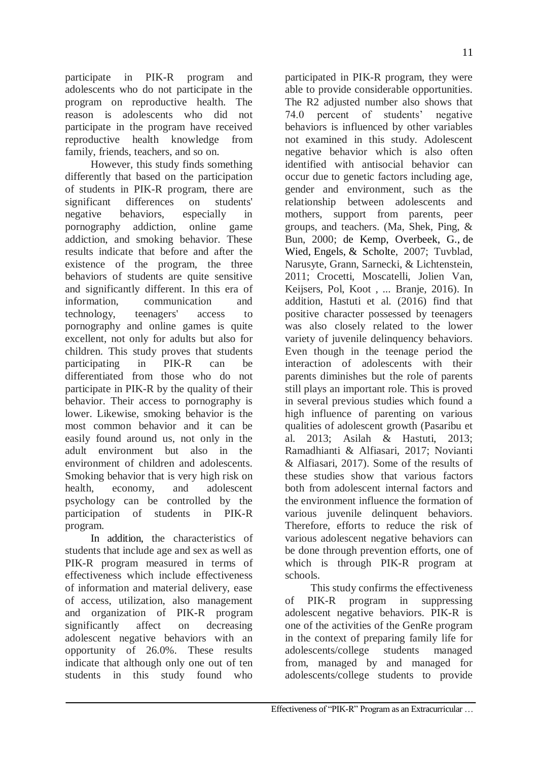participate in PIK-R program and adolescents who do not participate in the program on reproductive health. The reason is adolescents who did not participate in the program have received reproductive health knowledge from family, friends, teachers, and so on.

However, this study finds something differently that based on the participation of students in PIK-R program, there are significant differences on students' negative behaviors, especially in pornography addiction, online game addiction, and smoking behavior. These results indicate that before and after the existence of the program, the three behaviors of students are quite sensitive and significantly different. In this era of information, communication and technology, teenagers' access to pornography and online games is quite excellent, not only for adults but also for children. This study proves that students participating in PIK-R can be differentiated from those who do not participate in PIK-R by the quality of their behavior. Their access to pornography is lower. Likewise, smoking behavior is the most common behavior and it can be easily found around us, not only in the adult environment but also in the environment of children and adolescents. Smoking behavior that is very high risk on health, economy, and adolescent psychology can be controlled by the participation of students in PIK-R program.

In addition, the characteristics of students that include age and sex as well as PIK-R program measured in terms of effectiveness which include effectiveness of information and material delivery, ease of access, utilization, also management and organization of PIK-R program significantly affect on decreasing adolescent negative behaviors with an opportunity of 26.0%. These results indicate that although only one out of ten students in this study found who

participated in PIK-R program, they were able to provide considerable opportunities. The R2 adjusted number also shows that 74.0 percent of students' negative behaviors is influenced by other variables not examined in this study. Adolescent negative behavior which is also often identified with antisocial behavior can occur due to genetic factors including age, gender and environment, such as the relationship between adolescents and mothers, support from parents, peer groups, and teachers. (Ma, Shek, Ping, & Bun, 2000; [de Kemp, Overbeek, G.](https://www.ncbi.nlm.nih.gov/pubmed/?term=de%20Kemp%20RA%5BAuthor%5D&cauthor=true&cauthor_uid=17879508), [de](https://www.ncbi.nlm.nih.gov/pubmed/?term=de%20Wied%20M%5BAuthor%5D&cauthor=true&cauthor_uid=17879508)  [Wied,](https://www.ncbi.nlm.nih.gov/pubmed/?term=de%20Wied%20M%5BAuthor%5D&cauthor=true&cauthor_uid=17879508) [Engels,](https://www.ncbi.nlm.nih.gov/pubmed/?term=Engels%20RC%5BAuthor%5D&cauthor=true&cauthor_uid=17879508) & [Scholte,](https://www.ncbi.nlm.nih.gov/pubmed/?term=Scholte%20RH%5BAuthor%5D&cauthor=true&cauthor_uid=17879508) 2007; Tuvblad, Narusyte, Grann, Sarnecki, & Lichtenstein, 2011; Crocetti, Moscatelli, Jolien Van, Keijsers, Pol, Koot , ... Branje, 2016). In addition, Hastuti et al. (2016) find that positive character possessed by teenagers was also closely related to the lower variety of juvenile delinquency behaviors. Even though in the teenage period the interaction of adolescents with their parents diminishes but the role of parents still plays an important role. This is proved in several previous studies which found a high influence of parenting on various qualities of adolescent growth (Pasaribu et al. 2013; Asilah & Hastuti, 2013; Ramadhianti & Alfiasari, 2017; Novianti & Alfiasari, 2017). Some of the results of these studies show that various factors both from adolescent internal factors and the environment influence the formation of various juvenile delinquent behaviors. Therefore, efforts to reduce the risk of various adolescent negative behaviors can be done through prevention efforts, one of which is through PIK-R program at schools.

This study confirms the effectiveness of PIK-R program in suppressing adolescent negative behaviors. PIK-R is one of the activities of the GenRe program in the context of preparing family life for adolescents/college students managed from, managed by and managed for adolescents/college students to provide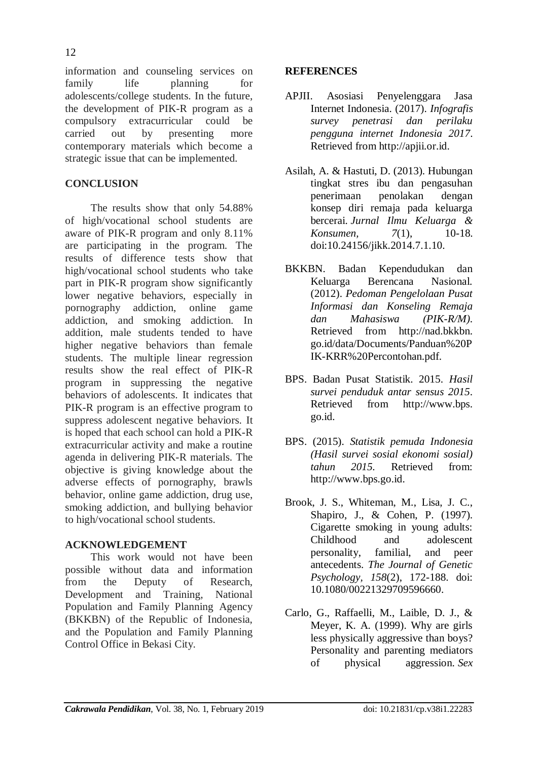information and counseling services on family life planning for adolescents/college students. In the future, the development of PIK-R program as a compulsory extracurricular could be carried out by presenting more contemporary materials which become a strategic issue that can be implemented.

# **CONCLUSION**

The results show that only 54.88% of high/vocational school students are aware of PIK-R program and only 8.11% are participating in the program. The results of difference tests show that high/vocational school students who take part in PIK-R program show significantly lower negative behaviors, especially in pornography addiction, online game addiction, and smoking addiction. In addition, male students tended to have higher negative behaviors than female students. The multiple linear regression results show the real effect of PIK-R program in suppressing the negative behaviors of adolescents. It indicates that PIK-R program is an effective program to suppress adolescent negative behaviors. It is hoped that each school can hold a PIK-R extracurricular activity and make a routine agenda in delivering PIK-R materials. The objective is giving knowledge about the adverse effects of pornography, brawls behavior, online game addiction, drug use, smoking addiction, and bullying behavior to high/vocational school students.

## **ACKNOWLEDGEMENT**

This work would not have been possible without data and information from the Deputy of Research, Development and Training, National Population and Family Planning Agency (BKKBN) of the Republic of Indonesia, and the Population and Family Planning Control Office in Bekasi City.

## **REFERENCES**

- APJII. Asosiasi Penyelenggara Jasa Internet Indonesia. (2017). *Infografis survey penetrasi dan perilaku pengguna internet Indonesia 2017*. Retrieved from [http://apjii.or.id.](http://apjii.or.id/)
- Asilah, A. & Hastuti, D. (2013). Hubungan tingkat stres ibu dan pengasuhan penerimaan penolakan dengan konsep diri remaja pada keluarga bercerai. *Jurnal Ilmu Keluarga & Konsumen, 7*(1), 10-18. doi:10.24156/jikk.2014.7.1.10.
- BKKBN. Badan Kependudukan dan Keluarga Berencana Nasional. (2012). *Pedoman Pengelolaan Pusat Informasi dan Konseling Remaja dan Mahasiswa (PIK-R/M).* Retrieved from [http://nad.bkkbn.](http://nad.bkkbn/) go.id/data/Documents/Panduan%20P IK-KRR%20Percontohan.pdf.
- BPS. Badan Pusat Statistik. 2015. *Hasil survei penduduk antar sensus 2015*. Retrieved from http://www.bps. go.id.
- BPS. (2015). *Statistik pemuda Indonesia (Hasil survei sosial ekonomi sosial) tahun 2015.* Retrieved from: [http://www.bps.go.id.](http://www.bps.go.id/)
- Brook, J. S., Whiteman, M., Lisa, J. C., Shapiro, J., & Cohen, P. (1997). Cigarette smoking in young adults: Childhood and adolescent personality, familial, and peer antecedents. *The Journal of Genetic Psychology, 158*(2), 172-188. doi: [10.1080/00221329709596660.](https://doi.org/10.1080/00221329709596660)
- Carlo, G., Raffaelli, M., Laible, D. J., & Meyer, K. A. (1999). Why are girls less physically aggressive than boys? Personality and parenting mediators of physical aggression. *Sex*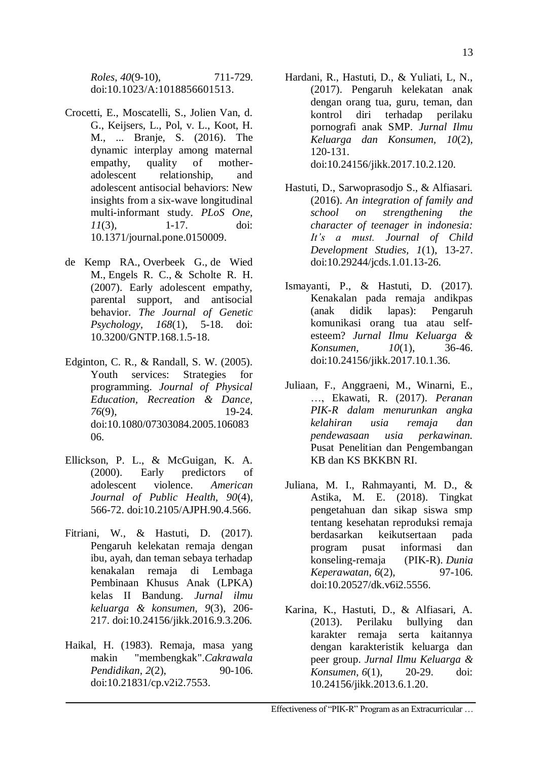*Roles*, *40*(9-10), 711-729. doi:10.1023/A:1018856601513.

- Crocetti, E., Moscatelli, S., Jolien Van, d. G., Keijsers, L., Pol, v. L., Koot, H. M., ... Branje, S. (2016). The dynamic interplay among maternal empathy, quality of motheradolescent relationship, and adolescent antisocial behaviors: New insights from a six-wave longitudinal multi-informant study. *PLoS One, 11*(3), 1-17. doi: 10.1371/journal.pone.0150009.
- [de Kemp RA.](https://www.ncbi.nlm.nih.gov/pubmed/?term=de%20Kemp%20RA%5BAuthor%5D&cauthor=true&cauthor_uid=17879508), [Overbeek G.](https://www.ncbi.nlm.nih.gov/pubmed/?term=Overbeek%20G%5BAuthor%5D&cauthor=true&cauthor_uid=17879508), [de Wied](https://www.ncbi.nlm.nih.gov/pubmed/?term=de%20Wied%20M%5BAuthor%5D&cauthor=true&cauthor_uid=17879508)  [M.](https://www.ncbi.nlm.nih.gov/pubmed/?term=de%20Wied%20M%5BAuthor%5D&cauthor=true&cauthor_uid=17879508), [Engels R. C.](https://www.ncbi.nlm.nih.gov/pubmed/?term=Engels%20RC%5BAuthor%5D&cauthor=true&cauthor_uid=17879508), & [Scholte R. H.](https://www.ncbi.nlm.nih.gov/pubmed/?term=Scholte%20RH%5BAuthor%5D&cauthor=true&cauthor_uid=17879508) (2007). Early adolescent empathy, parental support, and antisocial behavior. *The Journal of Genetic Psychology, 168*(1), 5-18. doi: 10.3200/GNTP.168.1.5-18.
- Edginton, C. R., & Randall, S. W. (2005). Youth services: Strategies for programming. *Journal of Physical Education, Recreation & Dance, 76*(9), 19-24. doi[:10.1080/07303084.2005.106083](http://dx.doi.org/10.1080/07303084.2005.10608306) [06.](http://dx.doi.org/10.1080/07303084.2005.10608306)
- Ellickson, P. L., & McGuigan, K. A. (2000). Early predictors of adolescent violence. *American Journal of Public Health, 90*(4), 566-72. doi:10.2105/AJPH.90.4.566.
- Fitriani, W., & Hastuti, D. (2017). Pengaruh kelekatan remaja dengan ibu, ayah, dan teman sebaya terhadap kenakalan remaja di Lembaga Pembinaan Khusus Anak (LPKA) kelas II Bandung. *Jurnal ilmu keluarga & konsumen, 9*(3), 206- 217. doi[:10.24156/jikk.2016.9.3.206.](http://dx.doi.org/10.24156/jikk.2016.9.3.206)
- Haikal, H. (1983). Remaja, masa yang makin "membengkak".*Cakrawala Pendidikan*, *2*(2), 90-106. doi[:10.21831/cp.v2i2.7553.](https://doi.org/10.21831/cp.v2i2.7553)
- Hardani, R., Hastuti, D., & Yuliati, L, N., (2017). Pengaruh kelekatan anak dengan orang tua, guru, teman, dan kontrol diri terhadap perilaku pornografi anak SMP. *Jurnal Ilmu Keluarga dan Konsumen, 10*(2), 120-131. doi:10.24156/jikk.2017.10.2.120.
- Hastuti, D., Sarwoprasodjo S., & Alfiasari. (2016). *An integration of family and school on strengthening the character of teenager in indonesia: It's a must. Journal of Child Development Studies, 1*(1), 13-27. doi:10.29244/jcds.1.01.13-26.
- Ismayanti, P., & Hastuti, D. (2017). Kenakalan pada remaja andikpas (anak didik lapas): Pengaruh komunikasi orang tua atau selfesteem? *Jurnal Ilmu Keluarga & Konsumen, 10*(1), 36-46. doi[:10.24156/jikk.2017.10.1.36.](http://dx.doi.org/10.24156/jikk.2017.10.1.36)
- Juliaan, F., Anggraeni, M., Winarni, E., …, Ekawati, R. (2017). *Peranan PIK-R dalam menurunkan angka kelahiran usia remaja dan pendewasaan usia perkawinan.* Pusat Penelitian dan Pengembangan KB dan KS BKKBN RI.
- Juliana, M. I., Rahmayanti, M. D., & Astika, M. E. (2018). Tingkat pengetahuan dan sikap siswa smp tentang kesehatan reproduksi remaja berdasarkan keikutsertaan pada program pusat informasi dan konseling-remaja (PIK-R). *Dunia Keperawatan*, *6*(2), 97-106. doi:10.20527/dk.v6i2.5556.
- Karina, K., Hastuti, D., & Alfiasari, A. (2013). Perilaku bullying dan karakter remaja serta kaitannya dengan karakteristik keluarga dan peer group. *Jurnal Ilmu Keluarga & Konsumen*, *6*(1), 20-29. doi: 10.24156/jikk.2013.6.1.20.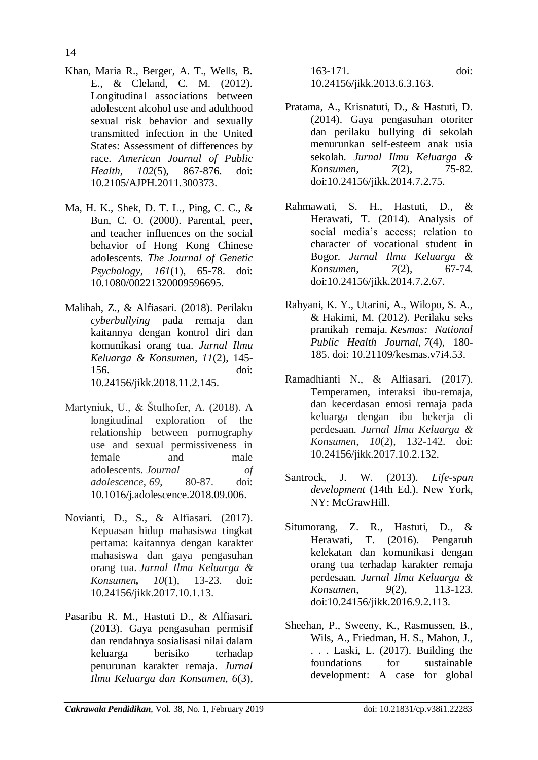- Khan, Maria R., Berger, A. T., Wells, B. E., & Cleland, C. M. (2012). Longitudinal associations between adolescent alcohol use and adulthood sexual risk behavior and sexually transmitted infection in the United States: Assessment of differences by race. *American Journal of Public Health, 102*(5), 867-876. doi: 10.2105/AJPH.2011.300373.
- Ma, H. K., Shek, D. T. L., Ping, C. C., & Bun, C. O. (2000). Parental, peer, and teacher influences on the social behavior of Hong Kong Chinese adolescents. *The Journal of Genetic Psychology, 161*(1), 65-78. doi: 10.1080/00221320009596695.
- Malihah, Z., & Alfiasari. (2018). Perilaku *cyberbullying* pada remaja dan kaitannya dengan kontrol diri dan komunikasi orang tua. *Jurnal Ilmu Keluarga & Konsumen, 11*(2), 145- 156. doi: [10.24156/jikk.2018.11.2.145.](http://dx.doi.org/10.24156/jikk.2018.11.2.145)
- Martyniuk, U., & Štulhofer, A. (2018). A longitudinal exploration of the relationship between pornography use and sexual permissiveness in female and male adolescents. *Journal of adolescence*, *69*, 80-87. doi: [10.1016/j.adolescence.2018.09.006.](https://doi.org/10.1016/j.adolescence.2018.09.006)
- Novianti, D., S., & Alfiasari. (2017). Kepuasan hidup mahasiswa tingkat pertama: kaitannya dengan karakter mahasiswa dan gaya pengasuhan orang tua. *Jurnal Ilmu Keluarga & Konsumen, 10*(1), 13-23. doi: 10.24156/jikk.2017.10.1.13.
- Pasaribu R. M., Hastuti D., & Alfiasari. (2013). Gaya pengasuhan permisif dan rendahnya sosialisasi nilai dalam keluarga berisiko terhadap penurunan karakter remaja. *Jurnal Ilmu Keluarga dan Konsumen, 6*(3),

163-171. doi: 10.24156/jikk.2013.6.3.163.

- Pratama, A., Krisnatuti, D., & Hastuti, D. (2014). Gaya pengasuhan otoriter dan perilaku bullying di sekolah menurunkan self-esteem anak usia sekolah. *Jurnal Ilmu Keluarga & Konsumen, 7*(2), 75-82. doi[:10.24156/jikk.2014.7.2.75.](http://dx.doi.org/10.24156/jikk.2014.7.2.75)
- Rahmawati, S. H., Hastuti, D., & Herawati, T. (2014). Analysis of social media's access; relation to character of vocational student in Bogor. *Jurnal Ilmu Keluarga & Konsumen*, *7*(2), 67-74. doi[:10.24156/jikk.2014.7.2.67.](http://dx.doi.org/10.24156/jikk.2014.7.2.67)
- Rahyani, K. Y., Utarini, A., Wilopo, S. A., & Hakimi, M. (2012). Perilaku seks pranikah remaja. *Kesmas: National Public Health Journal*, *7*(4), 180- 185. doi: 10.21109/kesmas.v7i4.53.
- Ramadhianti N., & Alfiasari. (2017). Temperamen, interaksi ibu-remaja, dan kecerdasan emosi remaja pada keluarga dengan ibu bekerja di perdesaan. *Jurnal Ilmu Keluarga & Konsumen, 10*(2), 132-142. doi: 10.24156/jikk.2017.10.2.132.
- Santrock, J. W. (2013). *Life-span development* (14th Ed.). New York, NY: McGrawHill.
- Situmorang, Z. R., Hastuti, D., & Herawati, T. (2016). Pengaruh kelekatan dan komunikasi dengan orang tua terhadap karakter remaja perdesaan. *Jurnal Ilmu Keluarga & Konsumen*, *9*(2), 113-123. doi[:10.24156/jikk.2016.9.2.113.](http://dx.doi.org/10.24156/jikk.2016.9.2.113)
- Sheehan, P., Sweeny, K., Rasmussen, B., Wils, A., Friedman, H. S., Mahon, J., . . . Laski, L. (2017). Building the foundations for sustainable development: A case for global